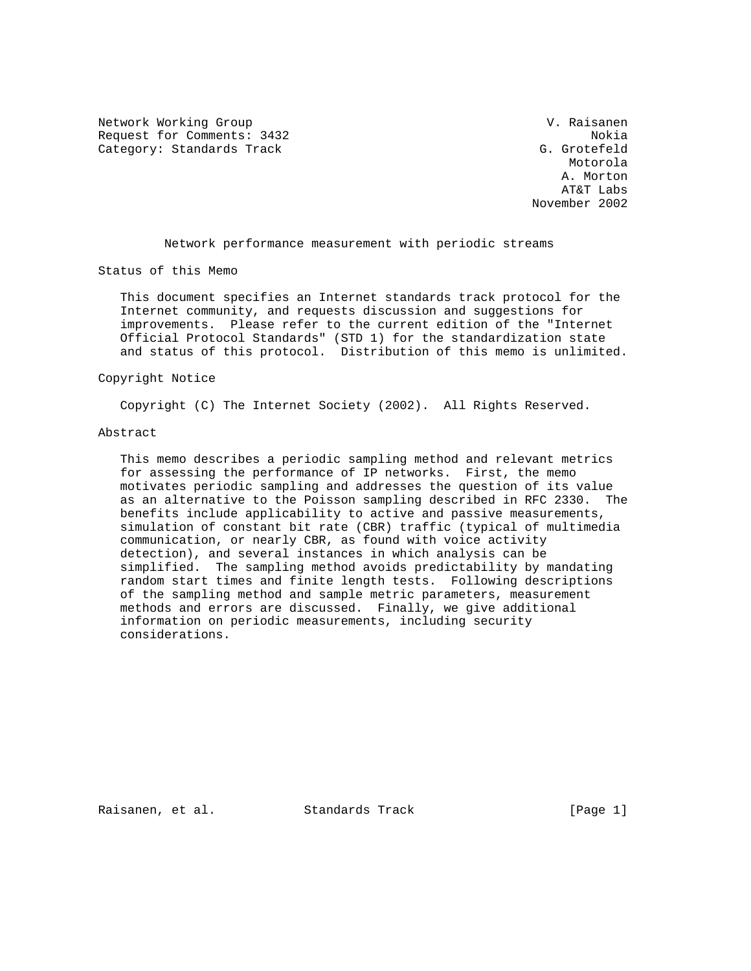Network Working Group and Communications of the U. Raisanen Request for Comments: 3432 Nokia Category: Standards Track G. Grotefeld

 Motorola A. Morton AT&T Labs November 2002

Network performance measurement with periodic streams

Status of this Memo

 This document specifies an Internet standards track protocol for the Internet community, and requests discussion and suggestions for improvements. Please refer to the current edition of the "Internet Official Protocol Standards" (STD 1) for the standardization state and status of this protocol. Distribution of this memo is unlimited.

## Copyright Notice

Copyright (C) The Internet Society (2002). All Rights Reserved.

#### Abstract

 This memo describes a periodic sampling method and relevant metrics for assessing the performance of IP networks. First, the memo motivates periodic sampling and addresses the question of its value as an alternative to the Poisson sampling described in RFC 2330. The benefits include applicability to active and passive measurements, simulation of constant bit rate (CBR) traffic (typical of multimedia communication, or nearly CBR, as found with voice activity detection), and several instances in which analysis can be simplified. The sampling method avoids predictability by mandating random start times and finite length tests. Following descriptions of the sampling method and sample metric parameters, measurement methods and errors are discussed. Finally, we give additional information on periodic measurements, including security considerations.

Raisanen, et al. Standards Track [Page 1]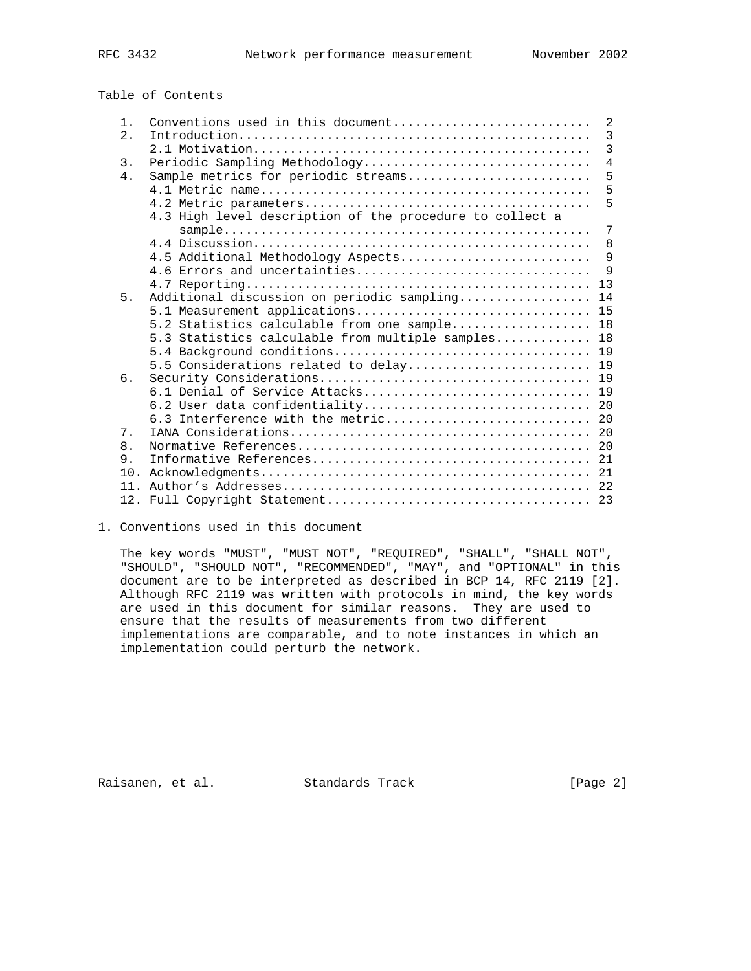Table of Contents

| $1$ .          | Conventions used in this document                                                                                    | 2              |
|----------------|----------------------------------------------------------------------------------------------------------------------|----------------|
| 2.             |                                                                                                                      | $\overline{3}$ |
|                |                                                                                                                      | 3              |
| 3.             | Periodic Sampling Methodology                                                                                        | $\overline{4}$ |
| 4.             | Sample metrics for periodic streams                                                                                  | 5              |
|                |                                                                                                                      | 5              |
|                |                                                                                                                      | 5              |
|                | 4.3 High level description of the procedure to collect a                                                             |                |
|                | $sample \dots \dots \dots \dots \dots \dots \dots \dots \dots \dots \dots \dots \dots \dots \dots \dots \dots \dots$ | 7              |
|                |                                                                                                                      | 8              |
|                | 4.5 Additional Methodology Aspects                                                                                   | 9              |
|                | 4.6 Errors and uncertainties                                                                                         | 9              |
|                |                                                                                                                      | 13             |
| 5.             | Additional discussion on periodic sampling 14                                                                        |                |
|                | 5.1 Measurement applications 15                                                                                      |                |
|                | 5.2 Statistics calculable from one sample 18                                                                         |                |
|                | 5.3 Statistics calculable from multiple samples 18                                                                   |                |
|                |                                                                                                                      |                |
|                | 5.5 Considerations related to delay 19                                                                               |                |
| б.             |                                                                                                                      |                |
|                |                                                                                                                      |                |
|                | 6.3 Interference with the metric 20                                                                                  |                |
| 7 <sub>1</sub> |                                                                                                                      |                |
| 8.             |                                                                                                                      |                |
| 9.             |                                                                                                                      |                |
| 10.            |                                                                                                                      |                |
| 11             |                                                                                                                      |                |
|                |                                                                                                                      |                |
|                |                                                                                                                      |                |

1. Conventions used in this document

 The key words "MUST", "MUST NOT", "REQUIRED", "SHALL", "SHALL NOT", "SHOULD", "SHOULD NOT", "RECOMMENDED", "MAY", and "OPTIONAL" in this document are to be interpreted as described in BCP 14, RFC 2119 [2]. Although RFC 2119 was written with protocols in mind, the key words are used in this document for similar reasons. They are used to ensure that the results of measurements from two different implementations are comparable, and to note instances in which an implementation could perturb the network.

Raisanen, et al. Standards Track [Page 2]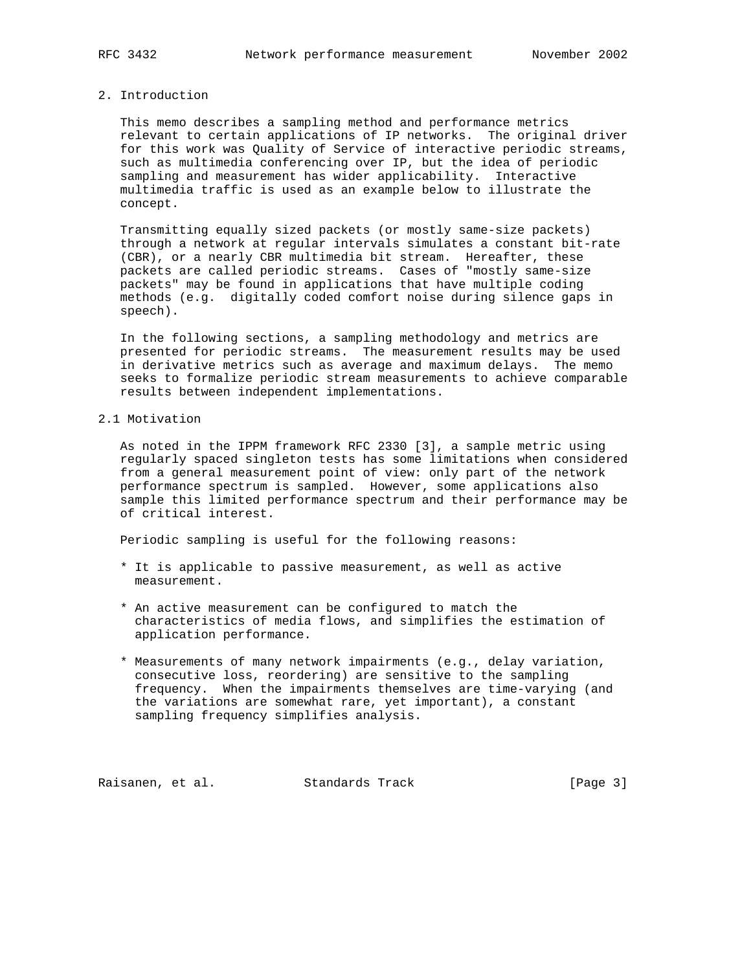# 2. Introduction

 This memo describes a sampling method and performance metrics relevant to certain applications of IP networks. The original driver for this work was Quality of Service of interactive periodic streams, such as multimedia conferencing over IP, but the idea of periodic sampling and measurement has wider applicability. Interactive multimedia traffic is used as an example below to illustrate the concept.

 Transmitting equally sized packets (or mostly same-size packets) through a network at regular intervals simulates a constant bit-rate (CBR), or a nearly CBR multimedia bit stream. Hereafter, these packets are called periodic streams. Cases of "mostly same-size packets" may be found in applications that have multiple coding methods (e.g. digitally coded comfort noise during silence gaps in speech).

 In the following sections, a sampling methodology and metrics are presented for periodic streams. The measurement results may be used in derivative metrics such as average and maximum delays. The memo seeks to formalize periodic stream measurements to achieve comparable results between independent implementations.

# 2.1 Motivation

 As noted in the IPPM framework RFC 2330 [3], a sample metric using regularly spaced singleton tests has some limitations when considered from a general measurement point of view: only part of the network performance spectrum is sampled. However, some applications also sample this limited performance spectrum and their performance may be of critical interest.

Periodic sampling is useful for the following reasons:

- \* It is applicable to passive measurement, as well as active measurement.
- \* An active measurement can be configured to match the characteristics of media flows, and simplifies the estimation of application performance.
- \* Measurements of many network impairments (e.g., delay variation, consecutive loss, reordering) are sensitive to the sampling frequency. When the impairments themselves are time-varying (and the variations are somewhat rare, yet important), a constant sampling frequency simplifies analysis.

Raisanen, et al. Standards Track [Page 3]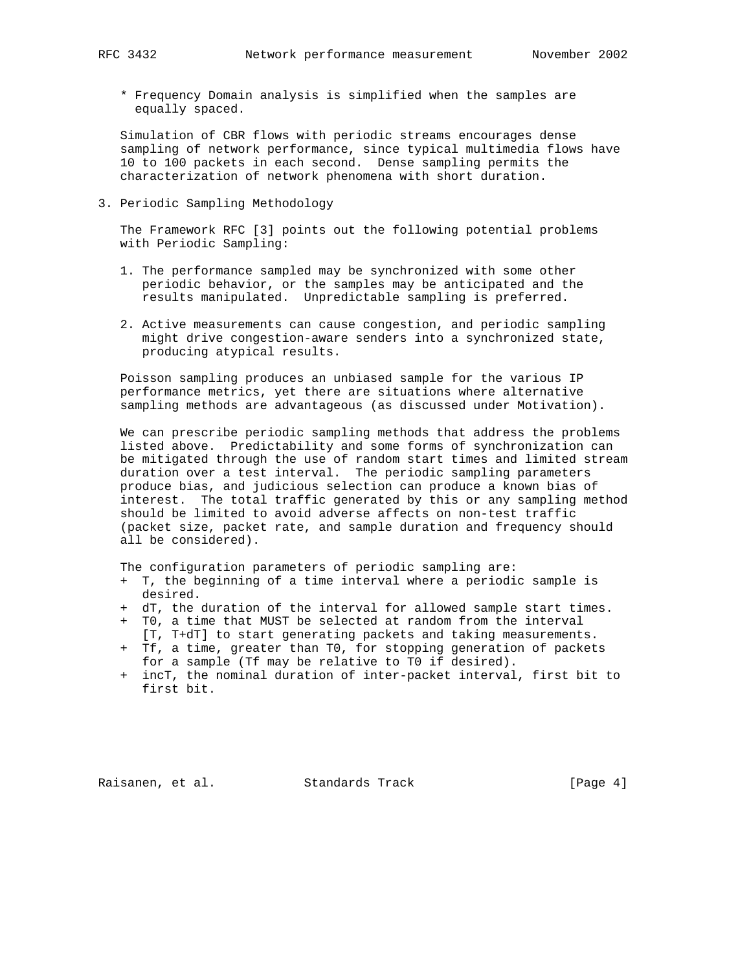\* Frequency Domain analysis is simplified when the samples are equally spaced.

 Simulation of CBR flows with periodic streams encourages dense sampling of network performance, since typical multimedia flows have 10 to 100 packets in each second. Dense sampling permits the characterization of network phenomena with short duration.

3. Periodic Sampling Methodology

 The Framework RFC [3] points out the following potential problems with Periodic Sampling:

- 1. The performance sampled may be synchronized with some other periodic behavior, or the samples may be anticipated and the results manipulated. Unpredictable sampling is preferred.
- 2. Active measurements can cause congestion, and periodic sampling might drive congestion-aware senders into a synchronized state, producing atypical results.

 Poisson sampling produces an unbiased sample for the various IP performance metrics, yet there are situations where alternative sampling methods are advantageous (as discussed under Motivation).

 We can prescribe periodic sampling methods that address the problems listed above. Predictability and some forms of synchronization can be mitigated through the use of random start times and limited stream duration over a test interval. The periodic sampling parameters produce bias, and judicious selection can produce a known bias of interest. The total traffic generated by this or any sampling method should be limited to avoid adverse affects on non-test traffic (packet size, packet rate, and sample duration and frequency should all be considered).

The configuration parameters of periodic sampling are:

- + T, the beginning of a time interval where a periodic sample is desired.
- + dT, the duration of the interval for allowed sample start times.
- + T0, a time that MUST be selected at random from the interval [T, T+dT] to start generating packets and taking measurements.
- + Tf, a time, greater than T0, for stopping generation of packets for a sample (Tf may be relative to T0 if desired).
- + incT, the nominal duration of inter-packet interval, first bit to first bit.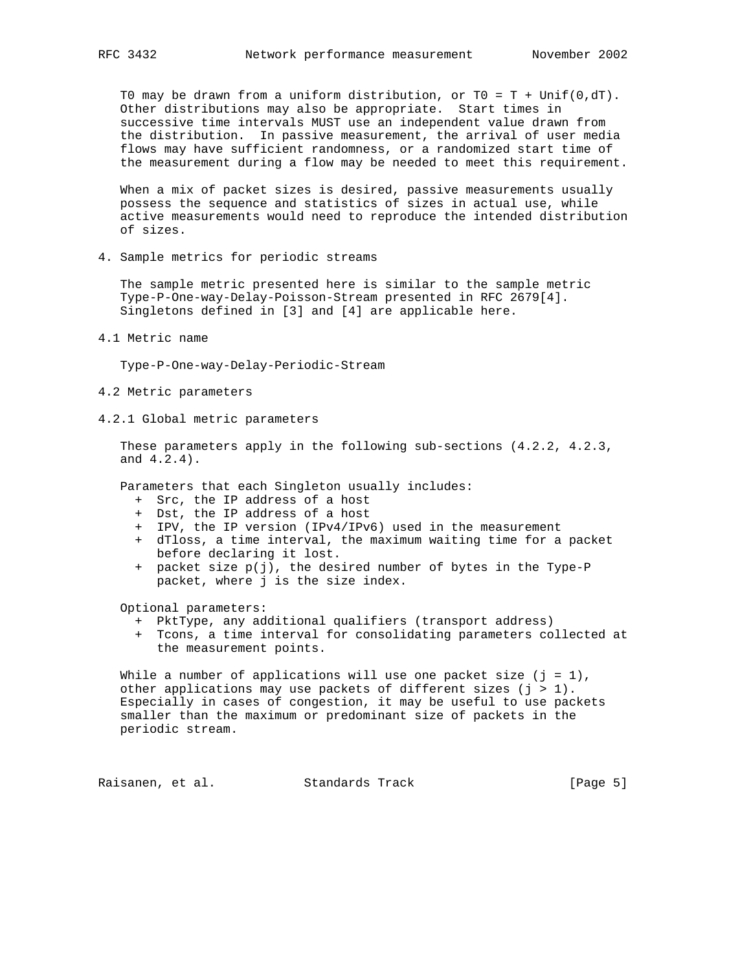T0 may be drawn from a uniform distribution, or  $T0 = T + \text{Unif}(0, dT)$ . Other distributions may also be appropriate. Start times in successive time intervals MUST use an independent value drawn from the distribution. In passive measurement, the arrival of user media flows may have sufficient randomness, or a randomized start time of the measurement during a flow may be needed to meet this requirement.

When a mix of packet sizes is desired, passive measurements usually possess the sequence and statistics of sizes in actual use, while active measurements would need to reproduce the intended distribution of sizes.

4. Sample metrics for periodic streams

 The sample metric presented here is similar to the sample metric Type-P-One-way-Delay-Poisson-Stream presented in RFC 2679[4]. Singletons defined in [3] and [4] are applicable here.

4.1 Metric name

Type-P-One-way-Delay-Periodic-Stream

- 4.2 Metric parameters
- 4.2.1 Global metric parameters

 These parameters apply in the following sub-sections (4.2.2, 4.2.3, and 4.2.4).

Parameters that each Singleton usually includes:

- + Src, the IP address of a host
- + Dst, the IP address of a host
- + IPV, the IP version (IPv4/IPv6) used in the measurement
- + dTloss, a time interval, the maximum waiting time for a packet before declaring it lost.
- + packet size p(j), the desired number of bytes in the Type-P packet, where j is the size index.

Optional parameters:

- + PktType, any additional qualifiers (transport address)
- + Tcons, a time interval for consolidating parameters collected at the measurement points.

While a number of applications will use one packet size  $(j = 1)$ , other applications may use packets of different sizes  $(j > 1)$ . Especially in cases of congestion, it may be useful to use packets smaller than the maximum or predominant size of packets in the periodic stream.

Raisanen, et al. Standards Track [Page 5]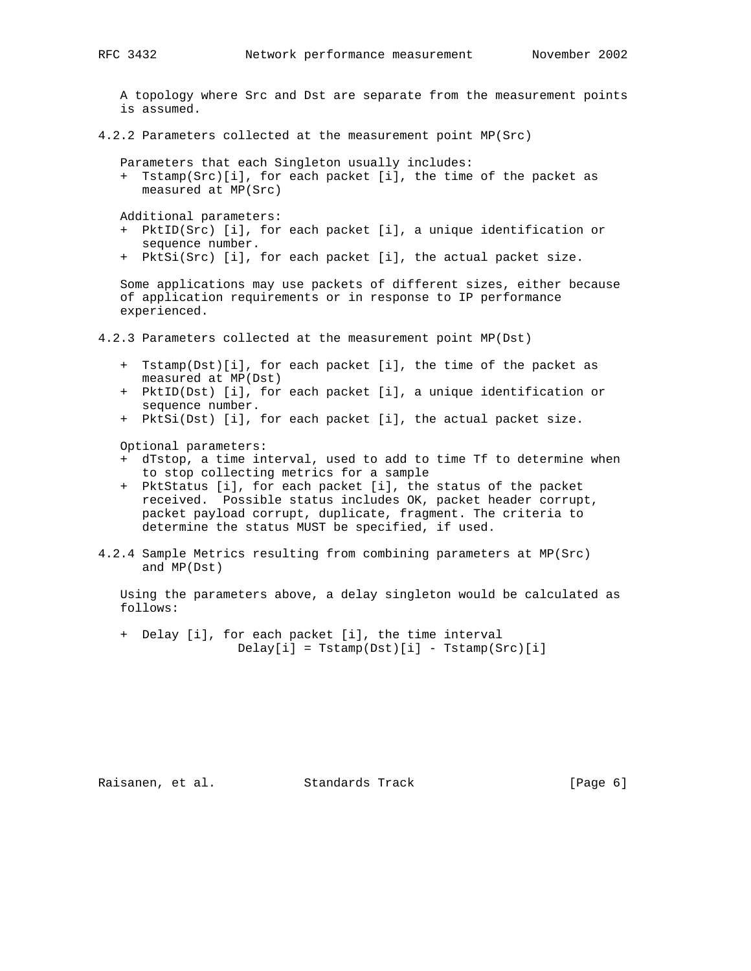A topology where Src and Dst are separate from the measurement points is assumed.

4.2.2 Parameters collected at the measurement point MP(Src)

Parameters that each Singleton usually includes:

 + Tstamp(Src)[i], for each packet [i], the time of the packet as measured at MP(Src)

Additional parameters:

- + PktID(Src) [i], for each packet [i], a unique identification or sequence number.
- + PktSi(Src) [i], for each packet [i], the actual packet size.

 Some applications may use packets of different sizes, either because of application requirements or in response to IP performance experienced.

- 4.2.3 Parameters collected at the measurement point MP(Dst)
	- + Tstamp(Dst)[i], for each packet [i], the time of the packet as measured at MP(Dst)
	- + PktID(Dst) [i], for each packet [i], a unique identification or sequence number.
	- + PktSi(Dst) [i], for each packet [i], the actual packet size.

Optional parameters:

- + dTstop, a time interval, used to add to time Tf to determine when to stop collecting metrics for a sample
- + PktStatus [i], for each packet [i], the status of the packet received. Possible status includes OK, packet header corrupt, packet payload corrupt, duplicate, fragment. The criteria to determine the status MUST be specified, if used.
- 4.2.4 Sample Metrics resulting from combining parameters at MP(Src) and MP(Dst)

 Using the parameters above, a delay singleton would be calculated as follows:

 + Delay [i], for each packet [i], the time interval  $Delay[i] = Tstamp(Dst)[i] - Tstamp(Src)[i]$ 

Raisanen, et al. Standards Track (Page 6)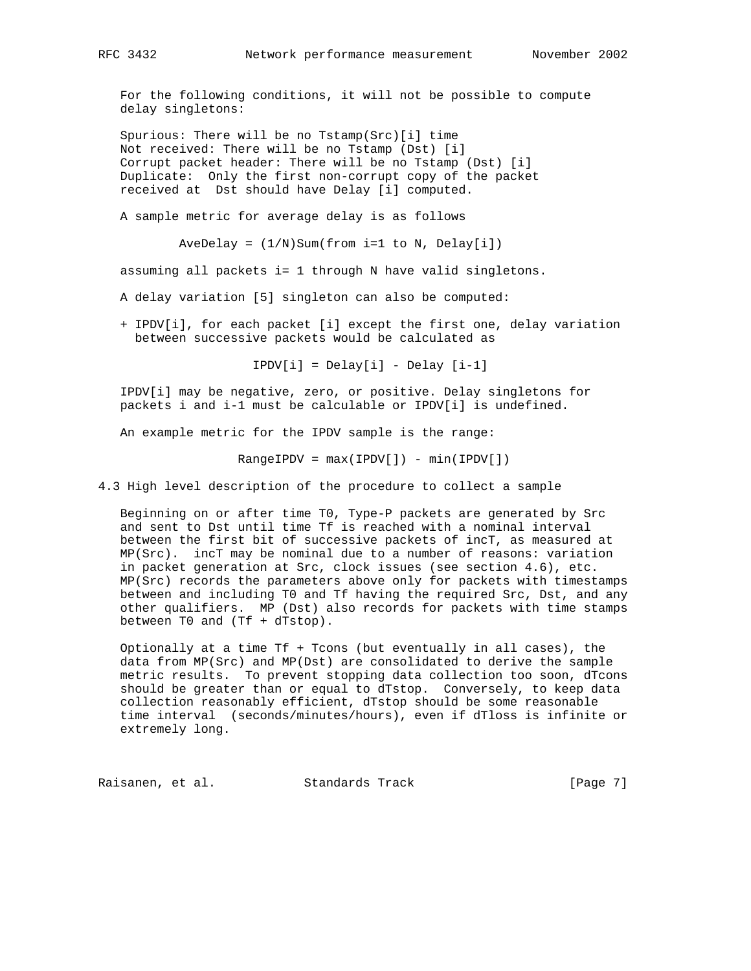For the following conditions, it will not be possible to compute delay singletons:

 Spurious: There will be no Tstamp(Src)[i] time Not received: There will be no Tstamp (Dst) [i] Corrupt packet header: There will be no Tstamp (Dst) [i] Duplicate: Only the first non-corrupt copy of the packet received at Dst should have Delay [i] computed.

A sample metric for average delay is as follows

AveDelay =  $(1/N)$ Sum(from i=1 to N, Delay[i])

assuming all packets i= 1 through N have valid singletons.

A delay variation [5] singleton can also be computed:

 + IPDV[i], for each packet [i] except the first one, delay variation between successive packets would be calculated as

IPDV[i] = Delay[i] - Delay [i-1]

 IPDV[i] may be negative, zero, or positive. Delay singletons for packets i and i-1 must be calculable or IPDV[i] is undefined.

An example metric for the IPDV sample is the range:

 $RangeIPDV = max(IPDV[]) - min(IPDV[])$ 

4.3 High level description of the procedure to collect a sample

 Beginning on or after time T0, Type-P packets are generated by Src and sent to Dst until time Tf is reached with a nominal interval between the first bit of successive packets of incT, as measured at MP(Src). incT may be nominal due to a number of reasons: variation in packet generation at Src, clock issues (see section 4.6), etc. MP(Src) records the parameters above only for packets with timestamps between and including T0 and Tf having the required Src, Dst, and any other qualifiers. MP (Dst) also records for packets with time stamps between T0 and (Tf + dTstop).

 Optionally at a time Tf + Tcons (but eventually in all cases), the data from MP(Src) and MP(Dst) are consolidated to derive the sample metric results. To prevent stopping data collection too soon, dTcons should be greater than or equal to dTstop. Conversely, to keep data collection reasonably efficient, dTstop should be some reasonable time interval (seconds/minutes/hours), even if dTloss is infinite or extremely long.

Raisanen, et al. Standards Track [Page 7]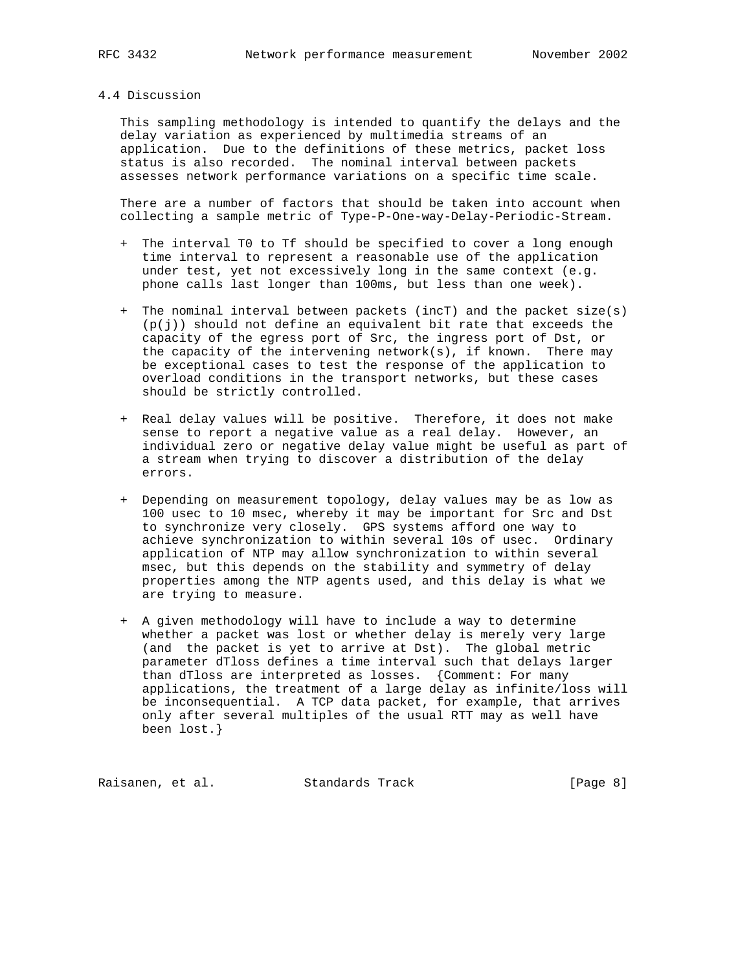#### 4.4 Discussion

 This sampling methodology is intended to quantify the delays and the delay variation as experienced by multimedia streams of an application. Due to the definitions of these metrics, packet loss status is also recorded. The nominal interval between packets assesses network performance variations on a specific time scale.

 There are a number of factors that should be taken into account when collecting a sample metric of Type-P-One-way-Delay-Periodic-Stream.

- + The interval T0 to Tf should be specified to cover a long enough time interval to represent a reasonable use of the application under test, yet not excessively long in the same context (e.g. phone calls last longer than 100ms, but less than one week).
- + The nominal interval between packets (incT) and the packet size(s)  $(p(j))$  should not define an equivalent bit rate that exceeds the capacity of the egress port of Src, the ingress port of Dst, or the capacity of the intervening network(s), if known. There may be exceptional cases to test the response of the application to overload conditions in the transport networks, but these cases should be strictly controlled.
- + Real delay values will be positive. Therefore, it does not make sense to report a negative value as a real delay. However, an individual zero or negative delay value might be useful as part of a stream when trying to discover a distribution of the delay errors.
- + Depending on measurement topology, delay values may be as low as 100 usec to 10 msec, whereby it may be important for Src and Dst to synchronize very closely. GPS systems afford one way to achieve synchronization to within several 10s of usec. Ordinary application of NTP may allow synchronization to within several msec, but this depends on the stability and symmetry of delay properties among the NTP agents used, and this delay is what we are trying to measure.
- + A given methodology will have to include a way to determine whether a packet was lost or whether delay is merely very large (and the packet is yet to arrive at Dst). The global metric parameter dTloss defines a time interval such that delays larger than dTloss are interpreted as losses. {Comment: For many applications, the treatment of a large delay as infinite/loss will be inconsequential. A TCP data packet, for example, that arrives only after several multiples of the usual RTT may as well have been lost.}

Raisanen, et al. Standards Track [Page 8]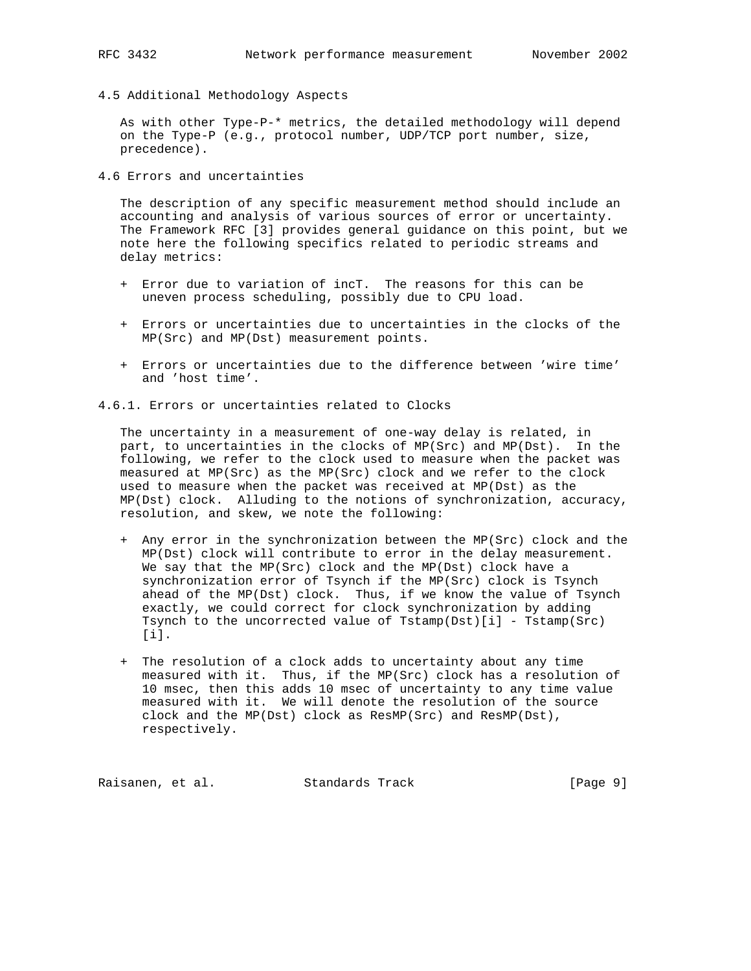4.5 Additional Methodology Aspects

 As with other Type-P-\* metrics, the detailed methodology will depend on the Type-P (e.g., protocol number, UDP/TCP port number, size, precedence).

4.6 Errors and uncertainties

 The description of any specific measurement method should include an accounting and analysis of various sources of error or uncertainty. The Framework RFC [3] provides general guidance on this point, but we note here the following specifics related to periodic streams and delay metrics:

- + Error due to variation of incT. The reasons for this can be uneven process scheduling, possibly due to CPU load.
- + Errors or uncertainties due to uncertainties in the clocks of the MP(Src) and MP(Dst) measurement points.
- + Errors or uncertainties due to the difference between 'wire time' and 'host time'.

4.6.1. Errors or uncertainties related to Clocks

 The uncertainty in a measurement of one-way delay is related, in part, to uncertainties in the clocks of MP(Src) and MP(Dst). In the following, we refer to the clock used to measure when the packet was measured at MP(Src) as the MP(Src) clock and we refer to the clock used to measure when the packet was received at MP(Dst) as the MP(Dst) clock. Alluding to the notions of synchronization, accuracy, resolution, and skew, we note the following:

- + Any error in the synchronization between the MP(Src) clock and the MP(Dst) clock will contribute to error in the delay measurement. We say that the MP(Src) clock and the MP(Dst) clock have a synchronization error of Tsynch if the MP(Src) clock is Tsynch ahead of the MP(Dst) clock. Thus, if we know the value of Tsynch exactly, we could correct for clock synchronization by adding Tsynch to the uncorrected value of Tstamp(Dst)[i] - Tstamp(Src) [i].
- + The resolution of a clock adds to uncertainty about any time measured with it. Thus, if the MP(Src) clock has a resolution of 10 msec, then this adds 10 msec of uncertainty to any time value measured with it. We will denote the resolution of the source clock and the MP(Dst) clock as ResMP(Src) and ResMP(Dst), respectively.

Raisanen, et al. Standards Track [Page 9]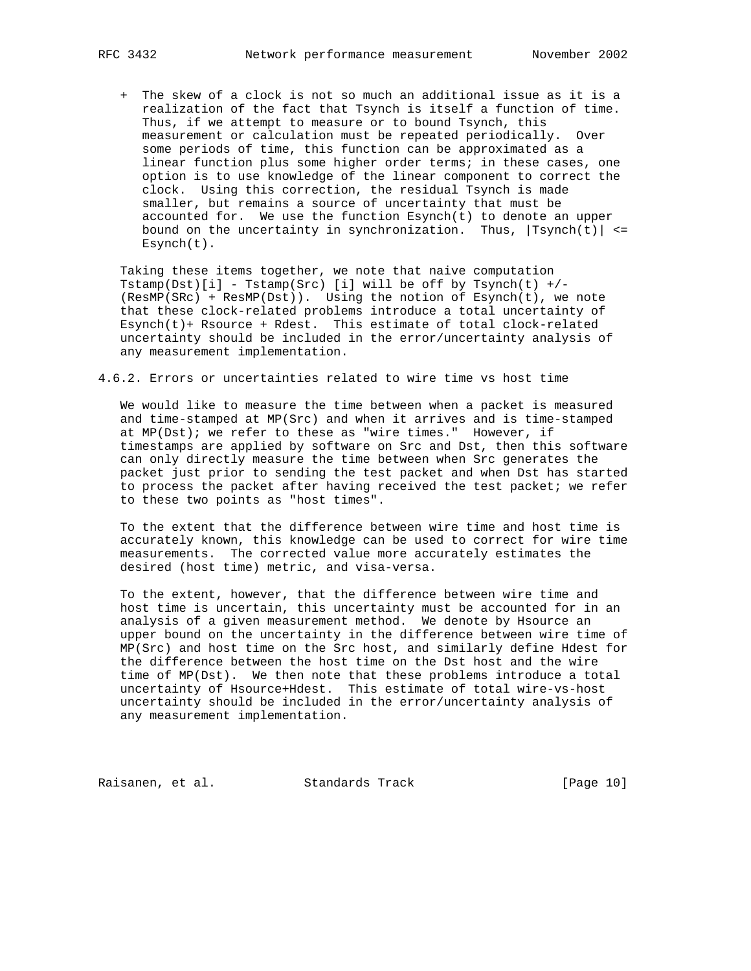+ The skew of a clock is not so much an additional issue as it is a realization of the fact that Tsynch is itself a function of time. Thus, if we attempt to measure or to bound Tsynch, this measurement or calculation must be repeated periodically. Over some periods of time, this function can be approximated as a linear function plus some higher order terms; in these cases, one option is to use knowledge of the linear component to correct the clock. Using this correction, the residual Tsynch is made smaller, but remains a source of uncertainty that must be accounted for. We use the function  $Esyrch(t)$  to denote an upper bound on the uncertainty in synchronization. Thus,  $|Tsynch(t)| \leq$ Esynch(t).

 Taking these items together, we note that naive computation Tstamp(Dst)[i] - Tstamp(Src) [i] will be off by Tsynch(t) +/- (ResMP(SRc) + ResMP(Dst)). Using the notion of Esynch(t), we note that these clock-related problems introduce a total uncertainty of Esynch(t)+ Rsource + Rdest. This estimate of total clock-related uncertainty should be included in the error/uncertainty analysis of any measurement implementation.

4.6.2. Errors or uncertainties related to wire time vs host time

 We would like to measure the time between when a packet is measured and time-stamped at MP(Src) and when it arrives and is time-stamped at MP(Dst); we refer to these as "wire times." However, if timestamps are applied by software on Src and Dst, then this software can only directly measure the time between when Src generates the packet just prior to sending the test packet and when Dst has started to process the packet after having received the test packet; we refer to these two points as "host times".

 To the extent that the difference between wire time and host time is accurately known, this knowledge can be used to correct for wire time measurements. The corrected value more accurately estimates the desired (host time) metric, and visa-versa.

 To the extent, however, that the difference between wire time and host time is uncertain, this uncertainty must be accounted for in an analysis of a given measurement method. We denote by Hsource an upper bound on the uncertainty in the difference between wire time of MP(Src) and host time on the Src host, and similarly define Hdest for the difference between the host time on the Dst host and the wire time of MP(Dst). We then note that these problems introduce a total uncertainty of Hsource+Hdest. This estimate of total wire-vs-host uncertainty should be included in the error/uncertainty analysis of any measurement implementation.

Raisanen, et al. Standards Track [Page 10]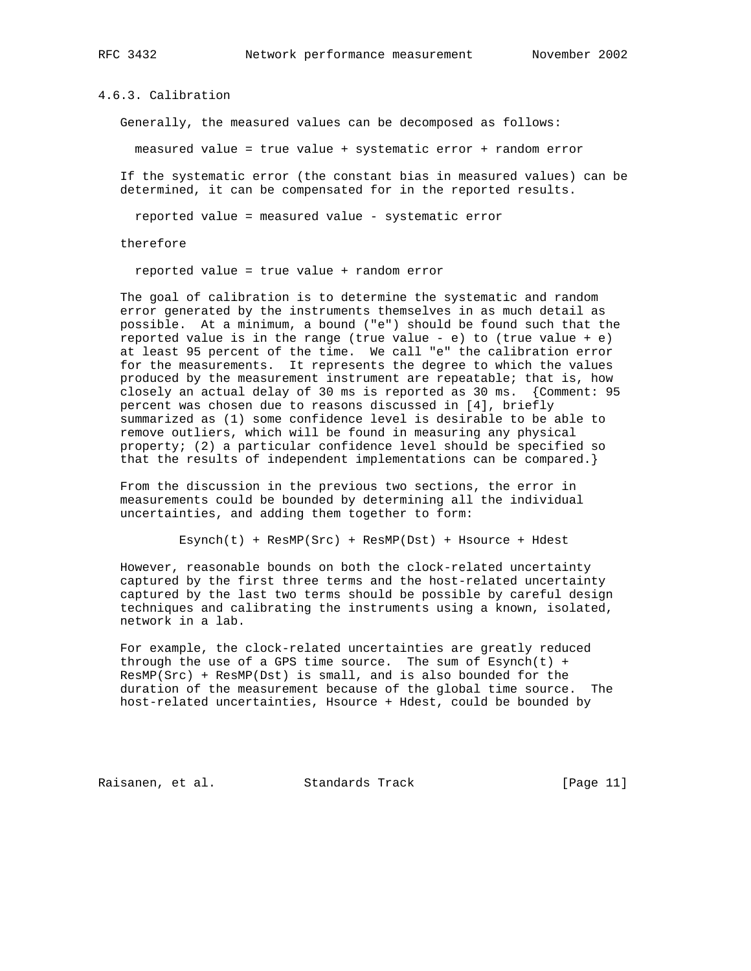4.6.3. Calibration

Generally, the measured values can be decomposed as follows:

measured value = true value + systematic error + random error

 If the systematic error (the constant bias in measured values) can be determined, it can be compensated for in the reported results.

reported value = measured value - systematic error

therefore

reported value = true value + random error

 The goal of calibration is to determine the systematic and random error generated by the instruments themselves in as much detail as possible. At a minimum, a bound ("e") should be found such that the reported value is in the range (true value - e) to (true value + e) at least 95 percent of the time. We call "e" the calibration error for the measurements. It represents the degree to which the values produced by the measurement instrument are repeatable; that is, how closely an actual delay of 30 ms is reported as 30 ms. {Comment: 95 percent was chosen due to reasons discussed in [4], briefly summarized as (1) some confidence level is desirable to be able to remove outliers, which will be found in measuring any physical property; (2) a particular confidence level should be specified so that the results of independent implementations can be compared.}

 From the discussion in the previous two sections, the error in measurements could be bounded by determining all the individual uncertainties, and adding them together to form:

Esynch(t) + ResMP(Src) + ResMP(Dst) + Hsource + Hdest

 However, reasonable bounds on both the clock-related uncertainty captured by the first three terms and the host-related uncertainty captured by the last two terms should be possible by careful design techniques and calibrating the instruments using a known, isolated, network in a lab.

 For example, the clock-related uncertainties are greatly reduced through the use of a GPS time source. The sum of  $Esynch(t)$  + ResMP(Src) + ResMP(Dst) is small, and is also bounded for the duration of the measurement because of the global time source. The host-related uncertainties, Hsource + Hdest, could be bounded by

Raisanen, et al. Standards Track [Page 11]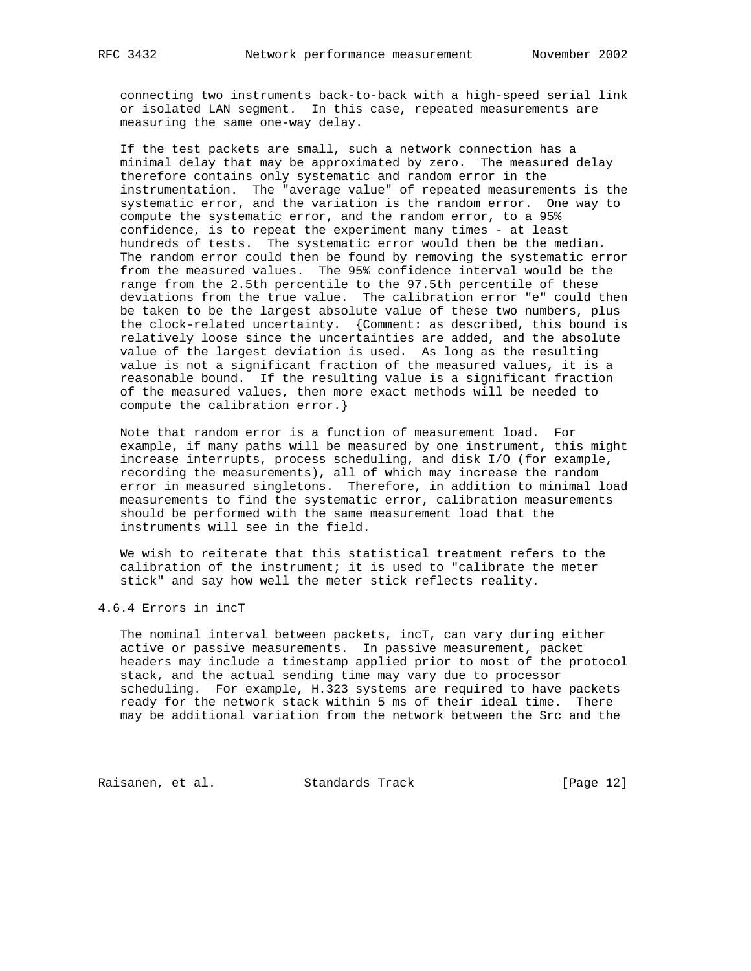connecting two instruments back-to-back with a high-speed serial link or isolated LAN segment. In this case, repeated measurements are measuring the same one-way delay.

 If the test packets are small, such a network connection has a minimal delay that may be approximated by zero. The measured delay therefore contains only systematic and random error in the instrumentation. The "average value" of repeated measurements is the systematic error, and the variation is the random error. One way to compute the systematic error, and the random error, to a 95% confidence, is to repeat the experiment many times - at least hundreds of tests. The systematic error would then be the median. The random error could then be found by removing the systematic error from the measured values. The 95% confidence interval would be the range from the 2.5th percentile to the 97.5th percentile of these deviations from the true value. The calibration error "e" could then be taken to be the largest absolute value of these two numbers, plus the clock-related uncertainty. {Comment: as described, this bound is relatively loose since the uncertainties are added, and the absolute value of the largest deviation is used. As long as the resulting value is not a significant fraction of the measured values, it is a reasonable bound. If the resulting value is a significant fraction of the measured values, then more exact methods will be needed to compute the calibration error.}

 Note that random error is a function of measurement load. For example, if many paths will be measured by one instrument, this might increase interrupts, process scheduling, and disk I/O (for example, recording the measurements), all of which may increase the random error in measured singletons. Therefore, in addition to minimal load measurements to find the systematic error, calibration measurements should be performed with the same measurement load that the instruments will see in the field.

 We wish to reiterate that this statistical treatment refers to the calibration of the instrument; it is used to "calibrate the meter stick" and say how well the meter stick reflects reality.

4.6.4 Errors in incT

 The nominal interval between packets, incT, can vary during either active or passive measurements. In passive measurement, packet headers may include a timestamp applied prior to most of the protocol stack, and the actual sending time may vary due to processor scheduling. For example, H.323 systems are required to have packets ready for the network stack within 5 ms of their ideal time. There may be additional variation from the network between the Src and the

Raisanen, et al. Standards Track [Page 12]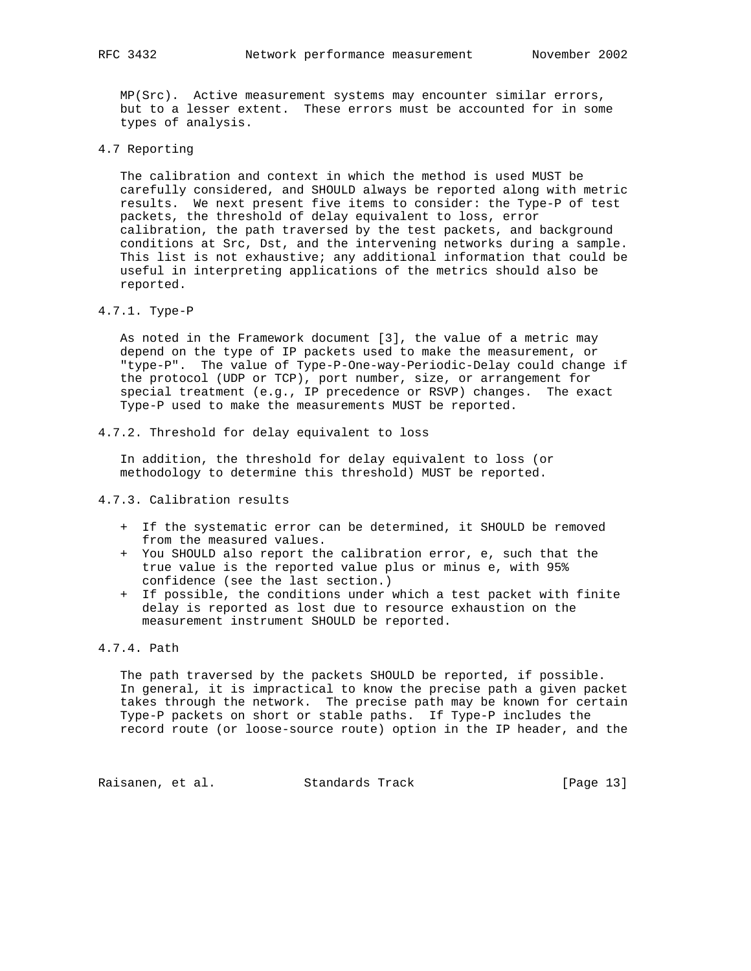MP(Src). Active measurement systems may encounter similar errors, but to a lesser extent. These errors must be accounted for in some types of analysis.

4.7 Reporting

 The calibration and context in which the method is used MUST be carefully considered, and SHOULD always be reported along with metric results. We next present five items to consider: the Type-P of test packets, the threshold of delay equivalent to loss, error calibration, the path traversed by the test packets, and background conditions at Src, Dst, and the intervening networks during a sample. This list is not exhaustive; any additional information that could be useful in interpreting applications of the metrics should also be reported.

4.7.1. Type-P

 As noted in the Framework document [3], the value of a metric may depend on the type of IP packets used to make the measurement, or "type-P". The value of Type-P-One-way-Periodic-Delay could change if the protocol (UDP or TCP), port number, size, or arrangement for special treatment (e.g., IP precedence or RSVP) changes. The exact Type-P used to make the measurements MUST be reported.

4.7.2. Threshold for delay equivalent to loss

 In addition, the threshold for delay equivalent to loss (or methodology to determine this threshold) MUST be reported.

# 4.7.3. Calibration results

- + If the systematic error can be determined, it SHOULD be removed from the measured values.
- + You SHOULD also report the calibration error, e, such that the true value is the reported value plus or minus e, with 95% confidence (see the last section.)
- + If possible, the conditions under which a test packet with finite delay is reported as lost due to resource exhaustion on the measurement instrument SHOULD be reported.

# 4.7.4. Path

 The path traversed by the packets SHOULD be reported, if possible. In general, it is impractical to know the precise path a given packet takes through the network. The precise path may be known for certain Type-P packets on short or stable paths. If Type-P includes the record route (or loose-source route) option in the IP header, and the

Raisanen, et al. Standards Track [Page 13]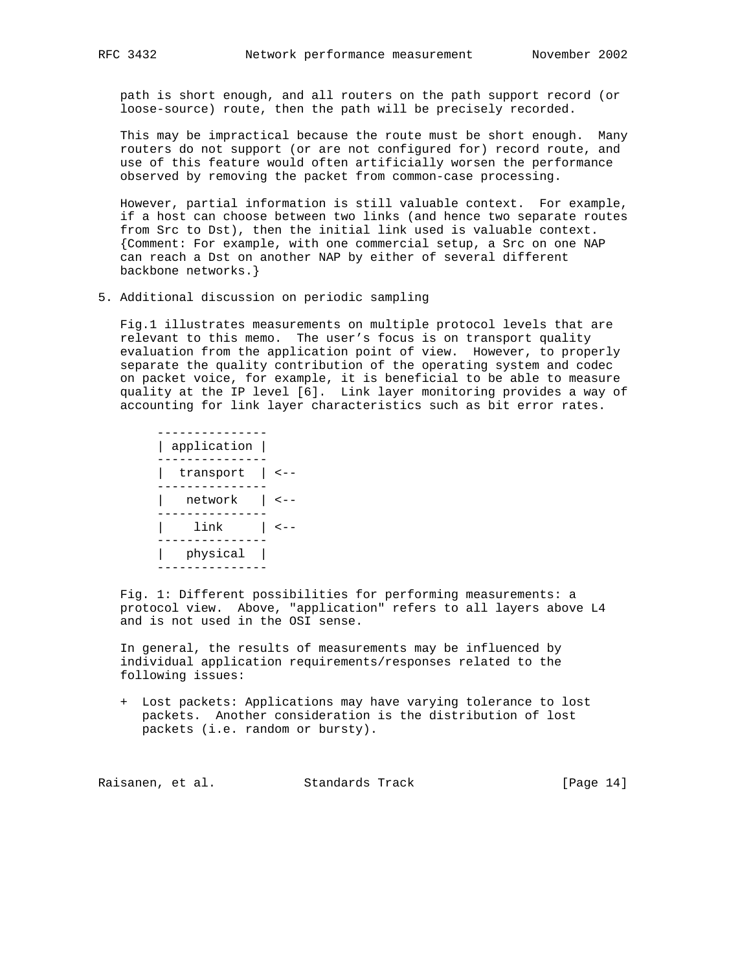path is short enough, and all routers on the path support record (or loose-source) route, then the path will be precisely recorded.

 This may be impractical because the route must be short enough. Many routers do not support (or are not configured for) record route, and use of this feature would often artificially worsen the performance observed by removing the packet from common-case processing.

 However, partial information is still valuable context. For example, if a host can choose between two links (and hence two separate routes from Src to Dst), then the initial link used is valuable context. {Comment: For example, with one commercial setup, a Src on one NAP can reach a Dst on another NAP by either of several different backbone networks.}

5. Additional discussion on periodic sampling

 Fig.1 illustrates measurements on multiple protocol levels that are relevant to this memo. The user's focus is on transport quality evaluation from the application point of view. However, to properly separate the quality contribution of the operating system and codec on packet voice, for example, it is beneficial to be able to measure quality at the IP level [6]. Link layer monitoring provides a way of accounting for link layer characteristics such as bit error rates.

 --------------- | application | --------------- | transport | <-- --------------- | network | <-- --------------- | link | <-- --------------- | physical | ---------------

 Fig. 1: Different possibilities for performing measurements: a protocol view. Above, "application" refers to all layers above L4 and is not used in the OSI sense.

 In general, the results of measurements may be influenced by individual application requirements/responses related to the following issues:

 + Lost packets: Applications may have varying tolerance to lost packets. Another consideration is the distribution of lost packets (i.e. random or bursty).

Raisanen, et al. Standards Track [Page 14]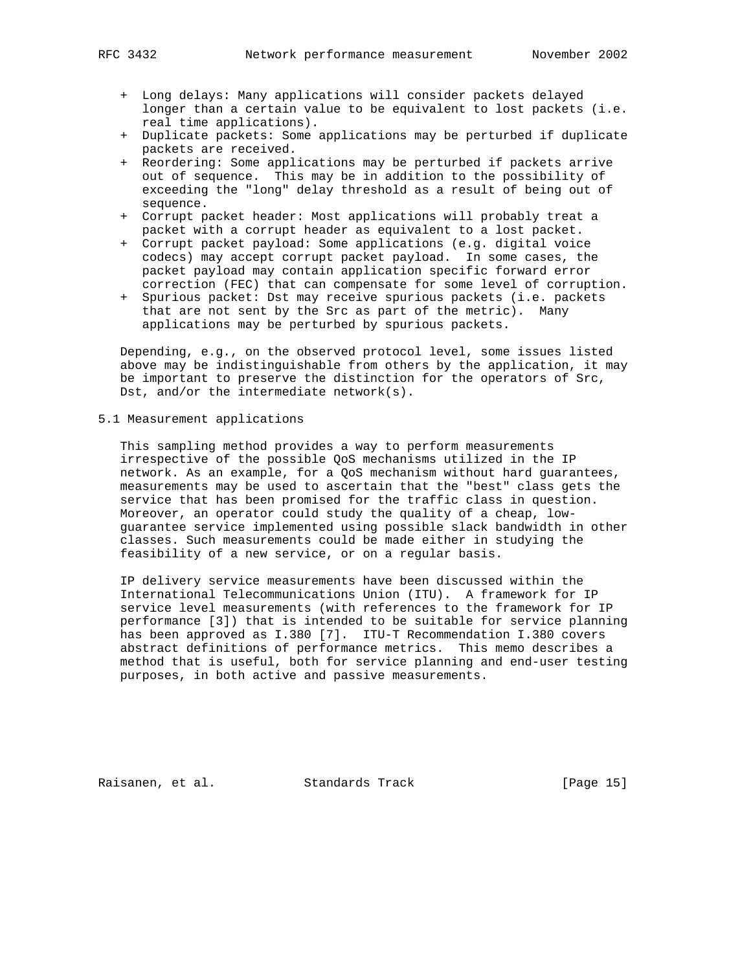- + Long delays: Many applications will consider packets delayed longer than a certain value to be equivalent to lost packets (i.e. real time applications).
- + Duplicate packets: Some applications may be perturbed if duplicate packets are received.
- + Reordering: Some applications may be perturbed if packets arrive out of sequence. This may be in addition to the possibility of exceeding the "long" delay threshold as a result of being out of sequence.
- + Corrupt packet header: Most applications will probably treat a packet with a corrupt header as equivalent to a lost packet.
- + Corrupt packet payload: Some applications (e.g. digital voice codecs) may accept corrupt packet payload. In some cases, the packet payload may contain application specific forward error correction (FEC) that can compensate for some level of corruption.
- + Spurious packet: Dst may receive spurious packets (i.e. packets that are not sent by the Src as part of the metric). Many applications may be perturbed by spurious packets.

 Depending, e.g., on the observed protocol level, some issues listed above may be indistinguishable from others by the application, it may be important to preserve the distinction for the operators of Src, Dst, and/or the intermediate network(s).

5.1 Measurement applications

 This sampling method provides a way to perform measurements irrespective of the possible QoS mechanisms utilized in the IP network. As an example, for a QoS mechanism without hard guarantees, measurements may be used to ascertain that the "best" class gets the service that has been promised for the traffic class in question. Moreover, an operator could study the quality of a cheap, low guarantee service implemented using possible slack bandwidth in other classes. Such measurements could be made either in studying the feasibility of a new service, or on a regular basis.

 IP delivery service measurements have been discussed within the International Telecommunications Union (ITU). A framework for IP service level measurements (with references to the framework for IP performance [3]) that is intended to be suitable for service planning has been approved as I.380 [7]. ITU-T Recommendation I.380 covers abstract definitions of performance metrics. This memo describes a method that is useful, both for service planning and end-user testing purposes, in both active and passive measurements.

Raisanen, et al. Standards Track [Page 15]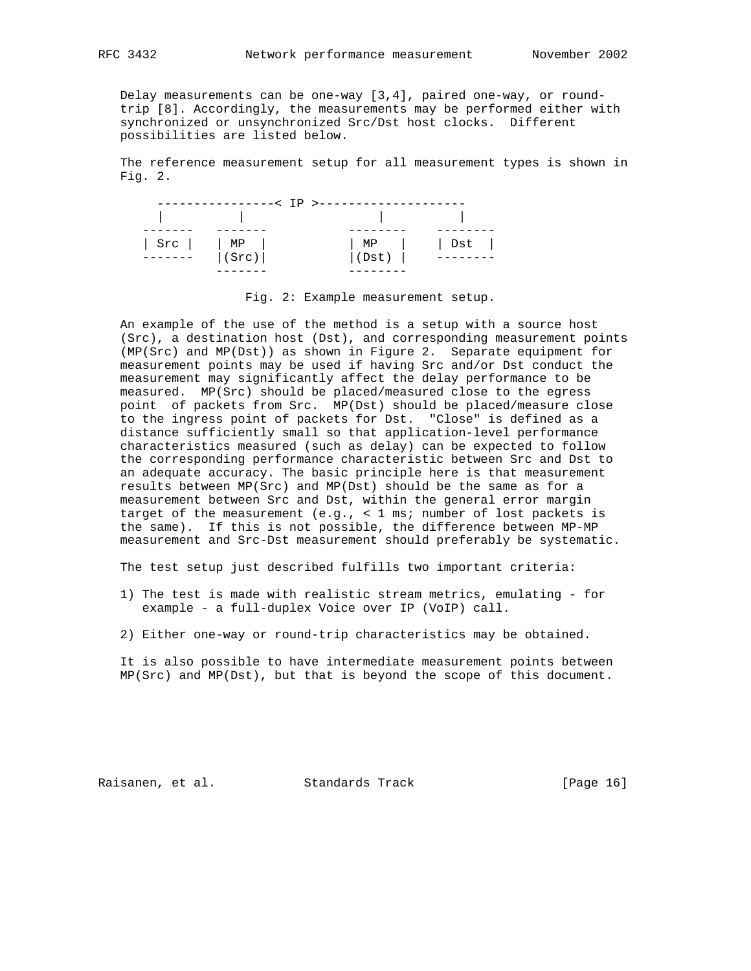Delay measurements can be one-way [3,4], paired one-way, or round trip [8]. Accordingly, the measurements may be performed either with synchronized or unsynchronized Src/Dst host clocks. Different possibilities are listed below.

 The reference measurement setup for all measurement types is shown in Fig. 2.

|                                       | --< TP >------- |             |
|---------------------------------------|-----------------|-------------|
|                                       |                 |             |
|                                       |                 |             |
| Src       MP  <br>-------       (Src) | MP  <br> (Dst)  | $ $ Dst $ $ |
|                                       |                 |             |

Fig. 2: Example measurement setup.

 An example of the use of the method is a setup with a source host (Src), a destination host (Dst), and corresponding measurement points (MP(Src) and MP(Dst)) as shown in Figure 2. Separate equipment for measurement points may be used if having Src and/or Dst conduct the measurement may significantly affect the delay performance to be measured. MP(Src) should be placed/measured close to the egress point of packets from Src. MP(Dst) should be placed/measure close to the ingress point of packets for Dst. "Close" is defined as a distance sufficiently small so that application-level performance characteristics measured (such as delay) can be expected to follow the corresponding performance characteristic between Src and Dst to an adequate accuracy. The basic principle here is that measurement results between MP(Src) and MP(Dst) should be the same as for a measurement between Src and Dst, within the general error margin target of the measurement (e.g., < 1 ms; number of lost packets is the same). If this is not possible, the difference between MP-MP measurement and Src-Dst measurement should preferably be systematic.

The test setup just described fulfills two important criteria:

- 1) The test is made with realistic stream metrics, emulating for example - a full-duplex Voice over IP (VoIP) call.
- 2) Either one-way or round-trip characteristics may be obtained.

 It is also possible to have intermediate measurement points between MP(Src) and MP(Dst), but that is beyond the scope of this document.

Raisanen, et al. Standards Track [Page 16]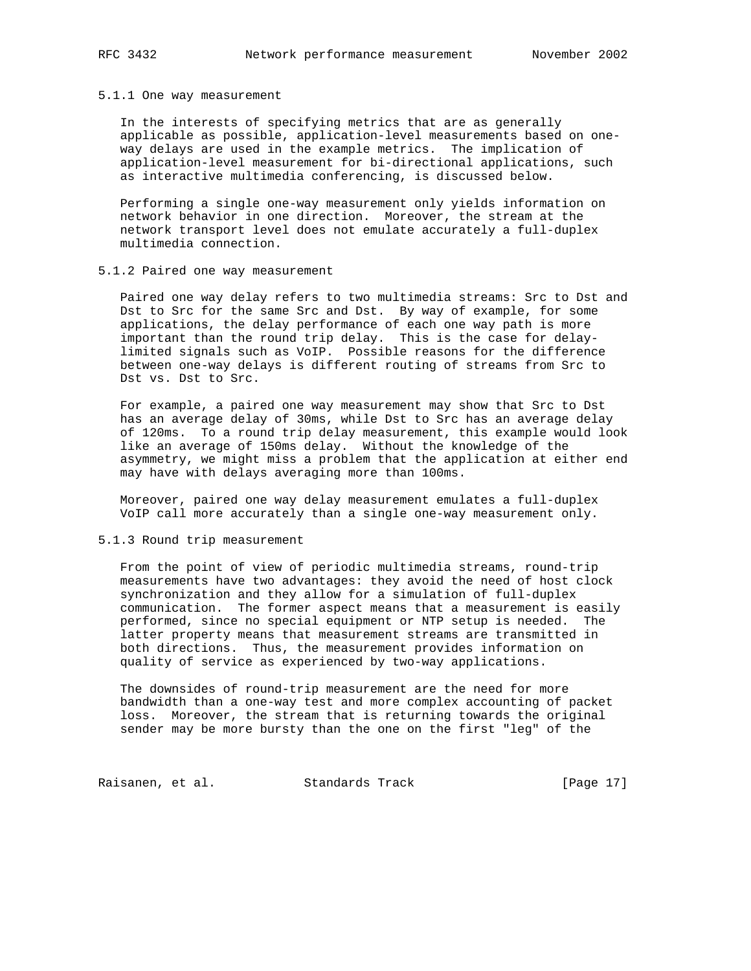#### 5.1.1 One way measurement

 In the interests of specifying metrics that are as generally applicable as possible, application-level measurements based on one way delays are used in the example metrics. The implication of application-level measurement for bi-directional applications, such as interactive multimedia conferencing, is discussed below.

 Performing a single one-way measurement only yields information on network behavior in one direction. Moreover, the stream at the network transport level does not emulate accurately a full-duplex multimedia connection.

#### 5.1.2 Paired one way measurement

 Paired one way delay refers to two multimedia streams: Src to Dst and Dst to Src for the same Src and Dst. By way of example, for some applications, the delay performance of each one way path is more important than the round trip delay. This is the case for delay limited signals such as VoIP. Possible reasons for the difference between one-way delays is different routing of streams from Src to Dst vs. Dst to Src.

 For example, a paired one way measurement may show that Src to Dst has an average delay of 30ms, while Dst to Src has an average delay of 120ms. To a round trip delay measurement, this example would look like an average of 150ms delay. Without the knowledge of the asymmetry, we might miss a problem that the application at either end may have with delays averaging more than 100ms.

 Moreover, paired one way delay measurement emulates a full-duplex VoIP call more accurately than a single one-way measurement only.

# 5.1.3 Round trip measurement

 From the point of view of periodic multimedia streams, round-trip measurements have two advantages: they avoid the need of host clock synchronization and they allow for a simulation of full-duplex communication. The former aspect means that a measurement is easily performed, since no special equipment or NTP setup is needed. The latter property means that measurement streams are transmitted in both directions. Thus, the measurement provides information on quality of service as experienced by two-way applications.

 The downsides of round-trip measurement are the need for more bandwidth than a one-way test and more complex accounting of packet loss. Moreover, the stream that is returning towards the original sender may be more bursty than the one on the first "leg" of the

Raisanen, et al. Standards Track [Page 17]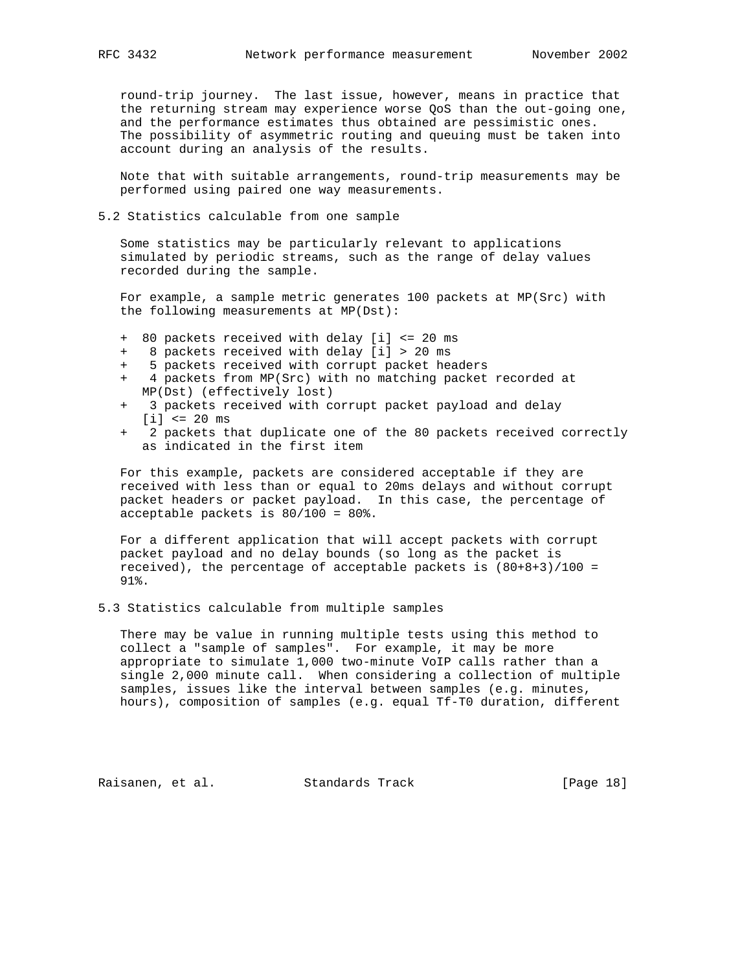round-trip journey. The last issue, however, means in practice that the returning stream may experience worse QoS than the out-going one, and the performance estimates thus obtained are pessimistic ones. The possibility of asymmetric routing and queuing must be taken into account during an analysis of the results.

 Note that with suitable arrangements, round-trip measurements may be performed using paired one way measurements.

5.2 Statistics calculable from one sample

 Some statistics may be particularly relevant to applications simulated by periodic streams, such as the range of delay values recorded during the sample.

 For example, a sample metric generates 100 packets at MP(Src) with the following measurements at MP(Dst):

- + 80 packets received with delay [i] <= 20 ms
- 8 packets received with delay [i] > 20 ms
- 5 packets received with corrupt packet headers
- 4 packets from MP(Src) with no matching packet recorded at MP(Dst) (effectively lost)
- 3 packets received with corrupt packet payload and delay [i] <= 20 ms
- 2 packets that duplicate one of the 80 packets received correctly as indicated in the first item

 For this example, packets are considered acceptable if they are received with less than or equal to 20ms delays and without corrupt packet headers or packet payload. In this case, the percentage of acceptable packets is 80/100 = 80%.

 For a different application that will accept packets with corrupt packet payload and no delay bounds (so long as the packet is received), the percentage of acceptable packets is  $(80+8+3)/100 =$ 91%.

5.3 Statistics calculable from multiple samples

 There may be value in running multiple tests using this method to collect a "sample of samples". For example, it may be more appropriate to simulate 1,000 two-minute VoIP calls rather than a single 2,000 minute call. When considering a collection of multiple samples, issues like the interval between samples (e.g. minutes, hours), composition of samples (e.g. equal Tf-T0 duration, different

Raisanen, et al. Standards Track [Page 18]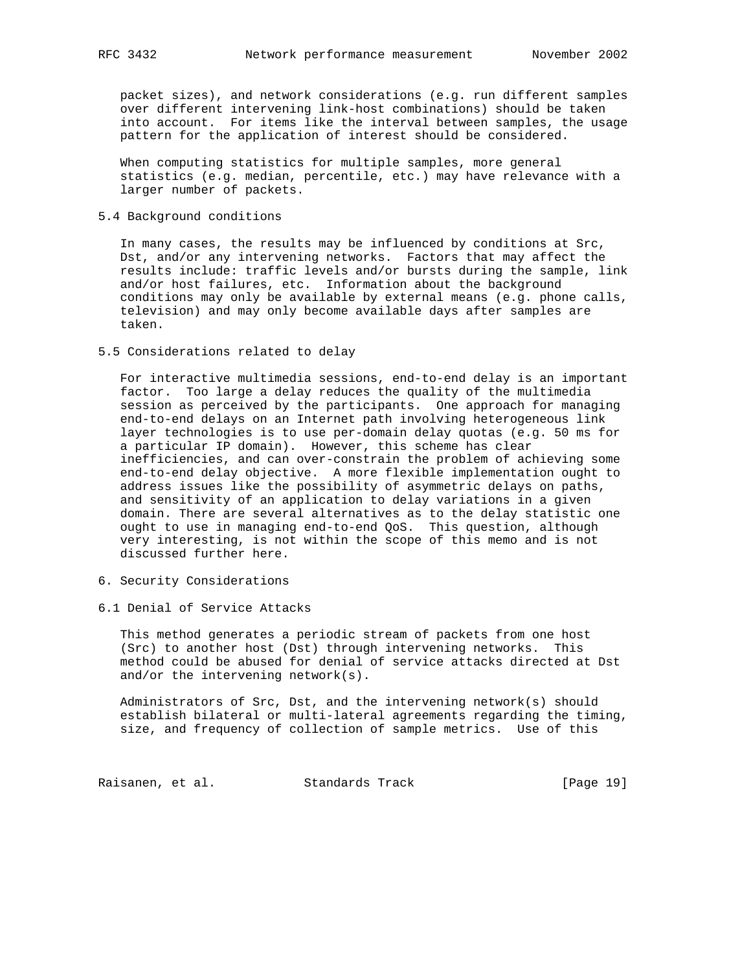packet sizes), and network considerations (e.g. run different samples over different intervening link-host combinations) should be taken into account. For items like the interval between samples, the usage pattern for the application of interest should be considered.

 When computing statistics for multiple samples, more general statistics (e.g. median, percentile, etc.) may have relevance with a larger number of packets.

# 5.4 Background conditions

 In many cases, the results may be influenced by conditions at Src, Dst, and/or any intervening networks. Factors that may affect the results include: traffic levels and/or bursts during the sample, link and/or host failures, etc. Information about the background conditions may only be available by external means (e.g. phone calls, television) and may only become available days after samples are taken.

## 5.5 Considerations related to delay

 For interactive multimedia sessions, end-to-end delay is an important factor. Too large a delay reduces the quality of the multimedia session as perceived by the participants. One approach for managing end-to-end delays on an Internet path involving heterogeneous link layer technologies is to use per-domain delay quotas (e.g. 50 ms for a particular IP domain). However, this scheme has clear inefficiencies, and can over-constrain the problem of achieving some end-to-end delay objective. A more flexible implementation ought to address issues like the possibility of asymmetric delays on paths, and sensitivity of an application to delay variations in a given domain. There are several alternatives as to the delay statistic one ought to use in managing end-to-end QoS. This question, although very interesting, is not within the scope of this memo and is not discussed further here.

- 6. Security Considerations
- 6.1 Denial of Service Attacks

 This method generates a periodic stream of packets from one host (Src) to another host (Dst) through intervening networks. This method could be abused for denial of service attacks directed at Dst and/or the intervening network(s).

 Administrators of Src, Dst, and the intervening network(s) should establish bilateral or multi-lateral agreements regarding the timing, size, and frequency of collection of sample metrics. Use of this

Raisanen, et al. Standards Track [Page 19]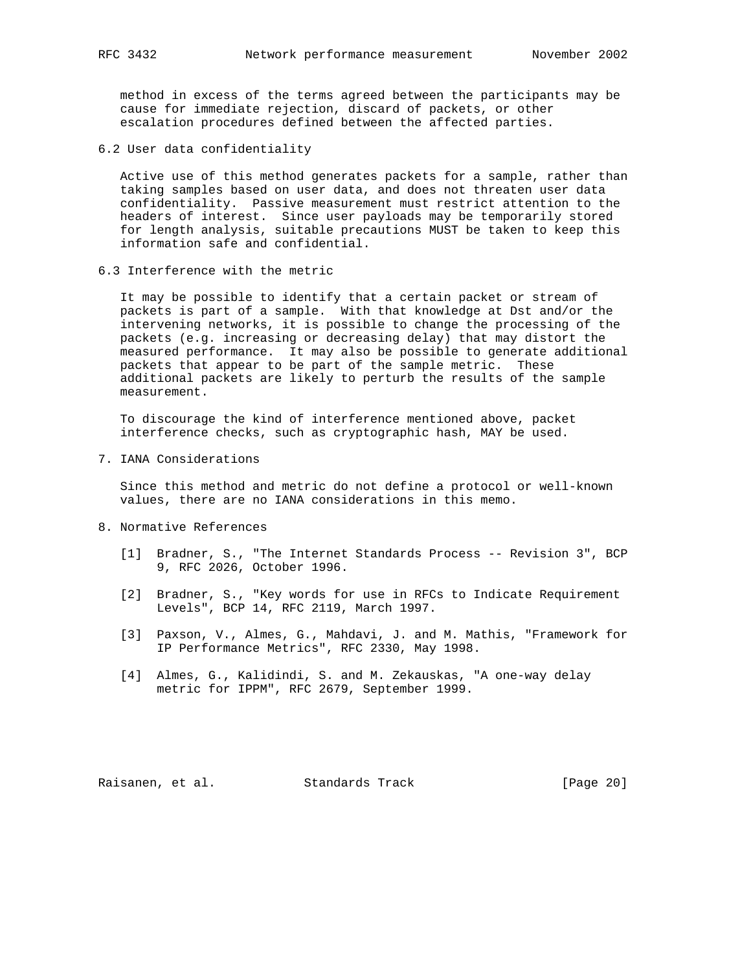method in excess of the terms agreed between the participants may be cause for immediate rejection, discard of packets, or other escalation procedures defined between the affected parties.

6.2 User data confidentiality

 Active use of this method generates packets for a sample, rather than taking samples based on user data, and does not threaten user data confidentiality. Passive measurement must restrict attention to the headers of interest. Since user payloads may be temporarily stored for length analysis, suitable precautions MUST be taken to keep this information safe and confidential.

6.3 Interference with the metric

 It may be possible to identify that a certain packet or stream of packets is part of a sample. With that knowledge at Dst and/or the intervening networks, it is possible to change the processing of the packets (e.g. increasing or decreasing delay) that may distort the measured performance. It may also be possible to generate additional packets that appear to be part of the sample metric. These additional packets are likely to perturb the results of the sample measurement.

 To discourage the kind of interference mentioned above, packet interference checks, such as cryptographic hash, MAY be used.

7. IANA Considerations

 Since this method and metric do not define a protocol or well-known values, there are no IANA considerations in this memo.

- 8. Normative References
	- [1] Bradner, S., "The Internet Standards Process -- Revision 3", BCP 9, RFC 2026, October 1996.
	- [2] Bradner, S., "Key words for use in RFCs to Indicate Requirement Levels", BCP 14, RFC 2119, March 1997.
	- [3] Paxson, V., Almes, G., Mahdavi, J. and M. Mathis, "Framework for IP Performance Metrics", RFC 2330, May 1998.
	- [4] Almes, G., Kalidindi, S. and M. Zekauskas, "A one-way delay metric for IPPM", RFC 2679, September 1999.

Raisanen, et al. Standards Track [Page 20]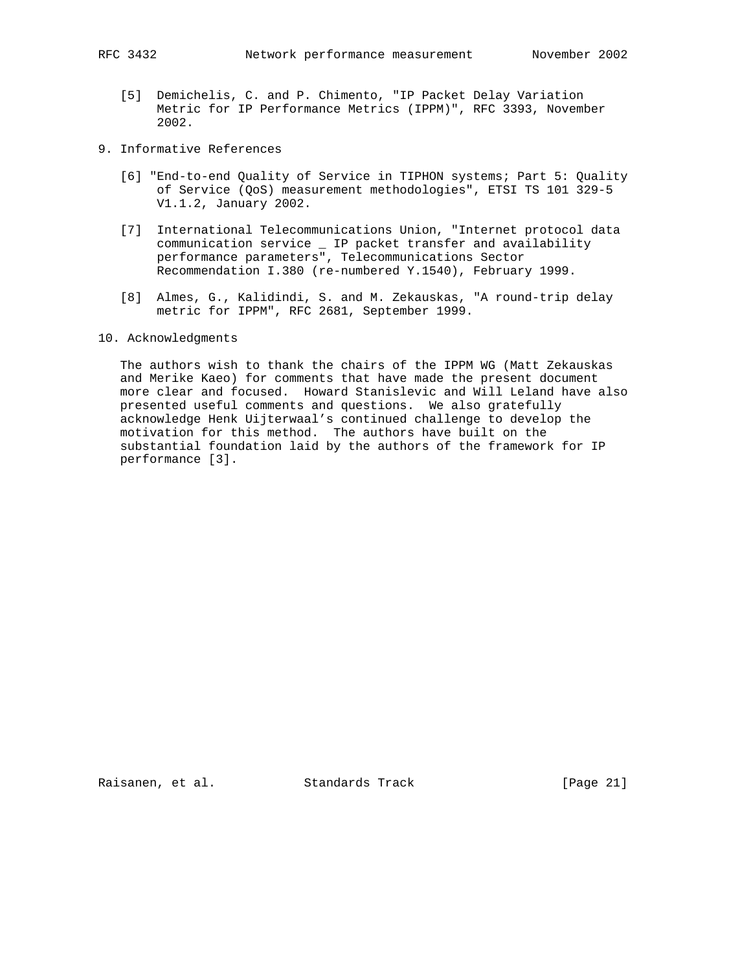- [5] Demichelis, C. and P. Chimento, "IP Packet Delay Variation Metric for IP Performance Metrics (IPPM)", RFC 3393, November 2002.
- 9. Informative References
	- [6] "End-to-end Quality of Service in TIPHON systems; Part 5: Quality of Service (QoS) measurement methodologies", ETSI TS 101 329-5 V1.1.2, January 2002.
	- [7] International Telecommunications Union, "Internet protocol data communication service \_ IP packet transfer and availability performance parameters", Telecommunications Sector Recommendation I.380 (re-numbered Y.1540), February 1999.
	- [8] Almes, G., Kalidindi, S. and M. Zekauskas, "A round-trip delay metric for IPPM", RFC 2681, September 1999.

# 10. Acknowledgments

 The authors wish to thank the chairs of the IPPM WG (Matt Zekauskas and Merike Kaeo) for comments that have made the present document more clear and focused. Howard Stanislevic and Will Leland have also presented useful comments and questions. We also gratefully acknowledge Henk Uijterwaal's continued challenge to develop the motivation for this method. The authors have built on the substantial foundation laid by the authors of the framework for IP performance [3].

Raisanen, et al. Standards Track [Page 21]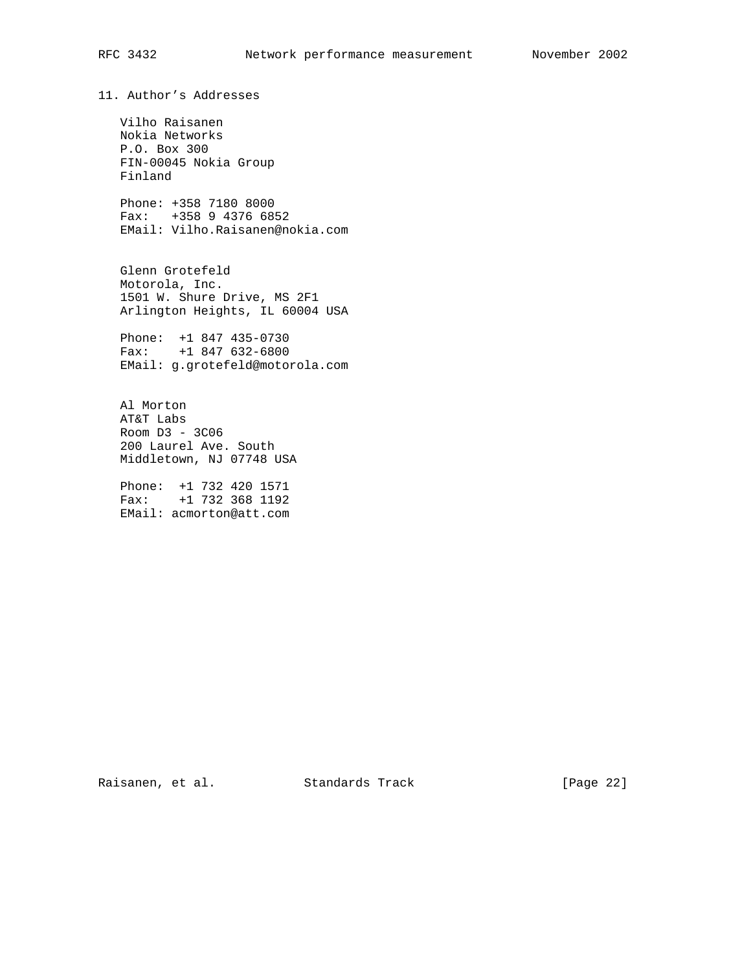11. Author's Addresses

 Vilho Raisanen Nokia Networks P.O. Box 300 FIN-00045 Nokia Group Finland

 Phone: +358 7180 8000 Fax: +358 9 4376 6852 EMail: Vilho.Raisanen@nokia.com

 Glenn Grotefeld Motorola, Inc. 1501 W. Shure Drive, MS 2F1 Arlington Heights, IL 60004 USA

 Phone: +1 847 435-0730 Fax: +1 847 632-6800 EMail: g.grotefeld@motorola.com

 Al Morton AT&T Labs Room D3 - 3C06 200 Laurel Ave. South Middletown, NJ 07748 USA

 Phone: +1 732 420 1571 Fax: +1 732 368 1192 EMail: acmorton@att.com

Raisanen, et al. Standards Track [Page 22]